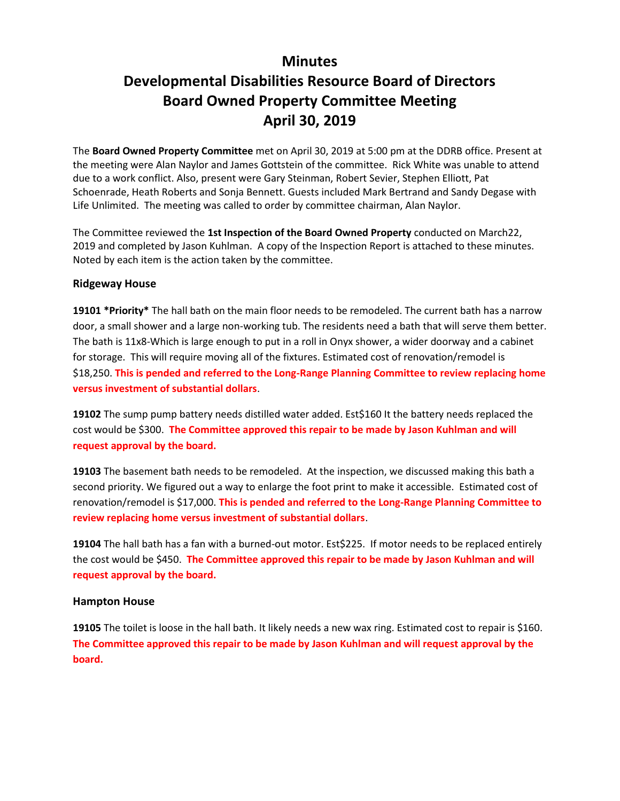## **Minutes**

# **Developmental Disabilities Resource Board of Directors Board Owned Property Committee Meeting April 30, 2019**

The **Board Owned Property Committee** met on April 30, 2019 at 5:00 pm at the DDRB office. Present at the meeting were Alan Naylor and James Gottstein of the committee. Rick White was unable to attend due to a work conflict. Also, present were Gary Steinman, Robert Sevier, Stephen Elliott, Pat Schoenrade, Heath Roberts and Sonja Bennett. Guests included Mark Bertrand and Sandy Degase with Life Unlimited. The meeting was called to order by committee chairman, Alan Naylor.

The Committee reviewed the **1st Inspection of the Board Owned Property** conducted on March22, 2019 and completed by Jason Kuhlman. A copy of the Inspection Report is attached to these minutes. Noted by each item is the action taken by the committee.

#### **Ridgeway House**

**19101 \*Priority\*** The hall bath on the main floor needs to be remodeled. The current bath has a narrow door, a small shower and a large non-working tub. The residents need a bath that will serve them better. The bath is 11x8-Which is large enough to put in a roll in Onyx shower, a wider doorway and a cabinet for storage. This will require moving all of the fixtures. Estimated cost of renovation/remodel is \$18,250. **This is pended and referred to the Long-Range Planning Committee to review replacing home versus investment of substantial dollars**.

19102 The sump pump battery needs distilled water added. Est\$160 It the battery needs replaced the cost would be \$300. **The Committee approved this repair to be made by Jason Kuhlman and will request approval by the board.**

**19103** The basement bath needs to be remodeled. At the inspection, we discussed making this bath a second priority. We figured out a way to enlarge the foot print to make it accessible. Estimated cost of renovation/remodel is \$17,000. **This is pended and referred to the Long-Range Planning Committee to review replacing home versus investment of substantial dollars**.

**19104** The hall bath has a fan with a burned-out motor. Est\$225. If motor needs to be replaced entirely the cost would be \$450. **The Committee approved this repair to be made by Jason Kuhlman and will request approval by the board.**

#### **Hampton House**

**19105** The toilet is loose in the hall bath. It likely needs a new wax ring. Estimated cost to repair is \$160. **The Committee approved this repair to be made by Jason Kuhlman and will request approval by the board.**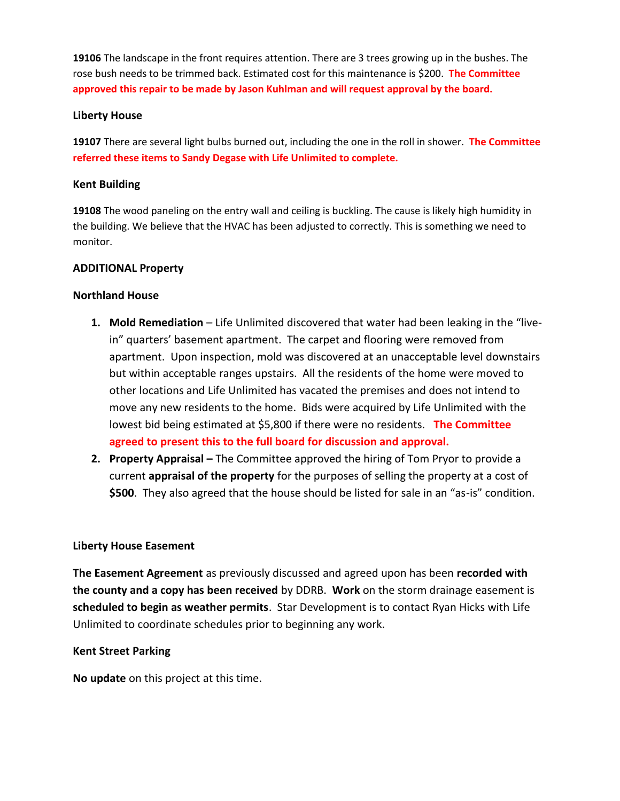**19106** The landscape in the front requires attention. There are 3 trees growing up in the bushes. The rose bush needs to be trimmed back. Estimated cost for this maintenance is \$200. **The Committee approved this repair to be made by Jason Kuhlman and will request approval by the board.**

#### **Liberty House**

**19107** There are several light bulbs burned out, including the one in the roll in shower. **The Committee referred these items to Sandy Degase with Life Unlimited to complete.**

#### **Kent Building**

**19108** The wood paneling on the entry wall and ceiling is buckling. The cause is likely high humidity in the building. We believe that the HVAC has been adjusted to correctly. This is something we need to monitor.

#### **ADDITIONAL Property**

#### **Northland House**

- 1. Mold Remediation Life Unlimited discovered that water had been leaking in the "livein" quarters' basement apartment. The carpet and flooring were removed from apartment. Upon inspection, mold was discovered at an unacceptable level downstairs but within acceptable ranges upstairs. All the residents of the home were moved to other locations and Life Unlimited has vacated the premises and does not intend to move any new residents to the home. Bids were acquired by Life Unlimited with the lowest bid being estimated at \$5,800 if there were no residents. **The Committee agreed to present this to the full board for discussion and approval.**
- **2. Property Appraisal –** The Committee approved the hiring of Tom Pryor to provide a current **appraisal of the property** for the purposes of selling the property at a cost of **\$500**. They also agreed that the house should be listed for sale in an "as-is" condition.

#### **Liberty House Easement**

**The Easement Agreement** as previously discussed and agreed upon has been **recorded with the county and a copy has been received** by DDRB. **Work** on the storm drainage easement is **scheduled to begin as weather permits**. Star Development is to contact Ryan Hicks with Life Unlimited to coordinate schedules prior to beginning any work.

#### **Kent Street Parking**

**No update** on this project at this time.